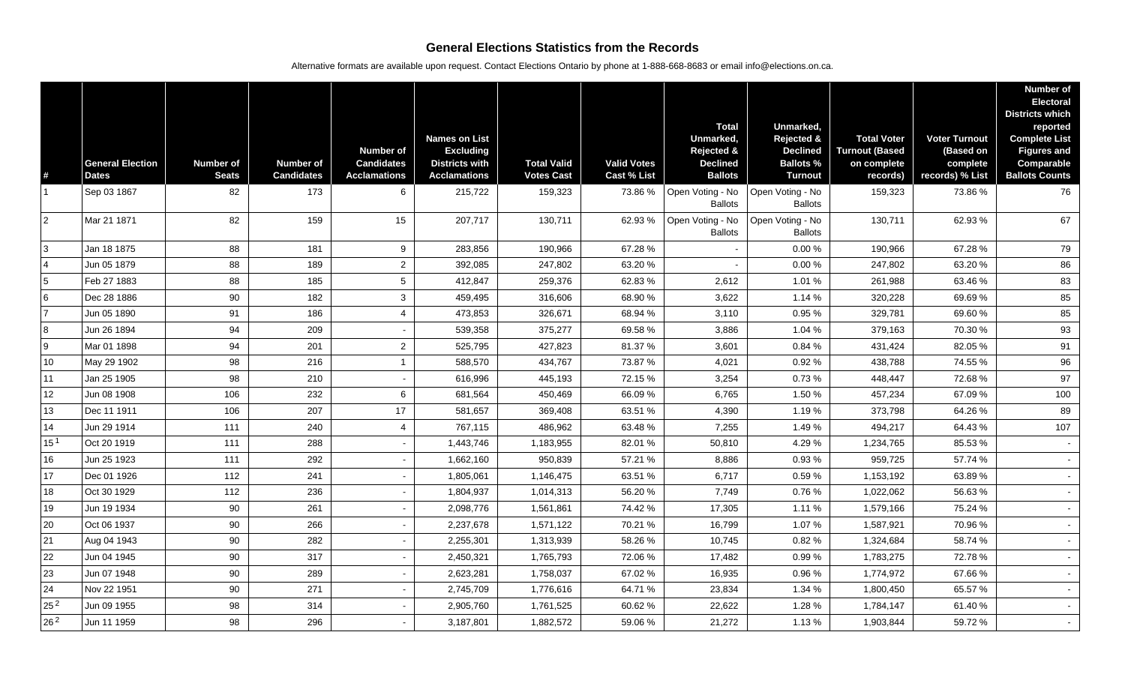## **General Elections Statistics from the Records**

Alternative formats are available upon request. Contact Elections Ontario by phone at 1-888-668-8683 or email info@elections.on.ca.

| $\#$            | <b>General Election</b><br><b>Dates</b> | <b>Number of</b><br><b>Seats</b> | <b>Number of</b><br><b>Candidates</b> | <b>Number of</b><br><b>Candidates</b><br><b>Acclamations</b> | <b>Names on List</b><br><b>Excluding</b><br><b>Districts with</b><br><b>Acclamations</b> | <b>Total Valid</b><br><b>Votes Cast</b> | <b>Valid Votes</b><br><b>Cast % List</b> | <b>Total</b><br>Unmarked,<br><b>Rejected &amp;</b><br><b>Declined</b><br><b>Ballots</b> | Unmarked,<br>Rejected &<br><b>Declined</b><br><b>Ballots %</b><br><b>Turnout</b> | <b>Total Voter</b><br><b>Turnout (Based</b><br>on complete<br>records) | <b>Voter Turnout</b><br>(Based on<br>complete<br>records) % List | <b>Number of</b><br><b>Electoral</b><br><b>Districts which</b><br>reported<br><b>Complete List</b><br><b>Figures and</b><br><b>Comparable</b><br><b>Ballots Counts</b> |
|-----------------|-----------------------------------------|----------------------------------|---------------------------------------|--------------------------------------------------------------|------------------------------------------------------------------------------------------|-----------------------------------------|------------------------------------------|-----------------------------------------------------------------------------------------|----------------------------------------------------------------------------------|------------------------------------------------------------------------|------------------------------------------------------------------|------------------------------------------------------------------------------------------------------------------------------------------------------------------------|
|                 | Sep 03 1867                             | 82                               | 173                                   | 6                                                            | 215,722                                                                                  | 159,323                                 | 73.86%                                   | Open Voting - No<br><b>Ballots</b>                                                      | Open Voting - No<br><b>Ballots</b>                                               | 159,323                                                                | 73.86 %                                                          | 76                                                                                                                                                                     |
| $\overline{2}$  | Mar 21 1871                             | 82                               | 159                                   | 15                                                           | 207,717                                                                                  | 130,711                                 | 62.93%                                   | Open Voting - No<br><b>Ballots</b>                                                      | Open Voting - No<br><b>Ballots</b>                                               | 130,711                                                                | 62.93%                                                           | 67                                                                                                                                                                     |
| 3               | Jan 18 1875                             | 88                               | 181                                   | 9                                                            | 283,856                                                                                  | 190,966                                 | 67.28%                                   |                                                                                         | 0.00%                                                                            | 190,966                                                                | 67.28 %                                                          | 79                                                                                                                                                                     |
| $\overline{4}$  | Jun 05 1879                             | 88                               | 189                                   | $\overline{2}$                                               | 392,085                                                                                  | 247,802                                 | 63.20 %                                  |                                                                                         | 0.00%                                                                            | 247,802                                                                | 63.20 %                                                          | 86                                                                                                                                                                     |
| 5               | Feb 27 1883                             | 88                               | 185                                   | $5\phantom{.0}$                                              | 412,847                                                                                  | 259,376                                 | 62.83%                                   | 2,612                                                                                   | 1.01%                                                                            | 261,988                                                                | 63.46 %                                                          | 83                                                                                                                                                                     |
| 6               | Dec 28 1886                             | 90                               | 182                                   | $\mathbf{3}$                                                 | 459,495                                                                                  | 316,606                                 | 68.90%                                   | 3,622                                                                                   | 1.14 %                                                                           | 320,228                                                                | 69.69%                                                           | 85                                                                                                                                                                     |
|                 | Jun 05 1890                             | 91                               | 186                                   | $\overline{4}$                                               | 473,853                                                                                  | 326,671                                 | 68.94 %                                  | 3,110                                                                                   | 0.95 %                                                                           | 329,781                                                                | 69.60%                                                           | 85                                                                                                                                                                     |
| 8               | Jun 26 1894                             | 94                               | 209                                   |                                                              | 539,358                                                                                  | 375,277                                 | 69.58 %                                  | 3,886                                                                                   | 1.04 %                                                                           | 379,163                                                                | 70.30 %                                                          | 93                                                                                                                                                                     |
| 9               | Mar 01 1898                             | 94                               | 201                                   | $\overline{2}$                                               | 525,795                                                                                  | 427,823                                 | 81.37%                                   | 3,601                                                                                   | 0.84 %                                                                           | 431,424                                                                | 82.05 %                                                          | 91                                                                                                                                                                     |
| 10              | May 29 1902                             | 98                               | 216                                   | $\mathbf{1}$                                                 | 588,570                                                                                  | 434,767                                 | 73.87 %                                  | 4,021                                                                                   | 0.92%                                                                            | 438,788                                                                | 74.55 %                                                          | 96                                                                                                                                                                     |
| 11              | Jan 25 1905                             | 98                               | 210                                   | $\sim$                                                       | 616,996                                                                                  | 445,193                                 | 72.15%                                   | 3,254                                                                                   | 0.73%                                                                            | 448,447                                                                | 72.68%                                                           | 97                                                                                                                                                                     |
| 12              | Jun 08 1908                             | 106                              | 232                                   | 6                                                            | 681,564                                                                                  | 450,469                                 | 66.09%                                   | 6,765                                                                                   | 1.50 %                                                                           | 457,234                                                                | 67.09 %                                                          | 100                                                                                                                                                                    |
| 13              | Dec 11 1911                             | 106                              | 207                                   | 17                                                           | 581,657                                                                                  | 369,408                                 | 63.51 %                                  | 4,390                                                                                   | 1.19 %                                                                           | 373,798                                                                | 64.26 %                                                          | 89                                                                                                                                                                     |
| 14              | Jun 29 1914                             | 111                              | 240                                   | $\overline{4}$                                               | 767,115                                                                                  | 486,962                                 | 63.48 %                                  | 7,255                                                                                   | 1.49%                                                                            | 494,217                                                                | 64.43 %                                                          | 107                                                                                                                                                                    |
| 15 <sup>1</sup> | Oct 20 1919                             | 111                              | 288                                   | $\blacksquare$                                               | 1,443,746                                                                                | 1,183,955                               | 82.01%                                   | 50,810                                                                                  | 4.29%                                                                            | 1,234,765                                                              | 85.53 %                                                          |                                                                                                                                                                        |
| 16              | Jun 25 1923                             | 111                              | 292                                   | $\sim$                                                       | 1,662,160                                                                                | 950,839                                 | 57.21 %                                  | 8,886                                                                                   | 0.93%                                                                            | 959,725                                                                | 57.74 %                                                          |                                                                                                                                                                        |
| 17              | Dec 01 1926                             | 112                              | 241                                   | $\sim$                                                       | 1,805,061                                                                                | 1,146,475                               | 63.51 %                                  | 6,717                                                                                   | 0.59%                                                                            | 1,153,192                                                              | 63.89 %                                                          |                                                                                                                                                                        |
| 18              | Oct 30 1929                             | 112                              | 236                                   |                                                              | 1,804,937                                                                                | 1,014,313                               | 56.20%                                   | 7,749                                                                                   | 0.76%                                                                            | 1,022,062                                                              | 56.63 %                                                          |                                                                                                                                                                        |
| 19              | Jun 19 1934                             | 90                               | 261                                   |                                                              | 2,098,776                                                                                | 1,561,861                               | 74.42 %                                  | 17,305                                                                                  | 1.11%                                                                            | 1,579,166                                                              | 75.24 %                                                          |                                                                                                                                                                        |
| 20              | Oct 06 1937                             | 90                               | 266                                   | $\sim$                                                       | 2,237,678                                                                                | 1,571,122                               | 70.21%                                   | 16,799                                                                                  | 1.07%                                                                            | 1,587,921                                                              | 70.96%                                                           |                                                                                                                                                                        |
| 21              | Aug 04 1943                             | 90                               | 282                                   | $\blacksquare$                                               | 2,255,301                                                                                | 1,313,939                               | 58.26%                                   | 10,745                                                                                  | 0.82%                                                                            | 1,324,684                                                              | 58.74 %                                                          |                                                                                                                                                                        |
| 22              | Jun 04 1945                             | 90                               | 317                                   |                                                              | 2,450,321                                                                                | 1,765,793                               | 72.06%                                   | 17,482                                                                                  | 0.99%                                                                            | 1,783,275                                                              | 72.78 %                                                          |                                                                                                                                                                        |
| 23              | Jun 07 1948                             | 90                               | 289                                   |                                                              | 2,623,281                                                                                | 1,758,037                               | 67.02%                                   | 16,935                                                                                  | 0.96%                                                                            | 1,774,972                                                              | 67.66%                                                           |                                                                                                                                                                        |
| 24              | Nov 22 1951                             | 90                               | 271                                   |                                                              | 2,745,709                                                                                | 1,776,616                               | 64.71 %                                  | 23,834                                                                                  | 1.34 %                                                                           | 1,800,450                                                              | 65.57 %                                                          |                                                                                                                                                                        |
| 25 <sup>2</sup> | Jun 09 1955                             | 98                               | 314                                   | $\sim$                                                       | 2,905,760                                                                                | 1,761,525                               | 60.62%                                   | 22,622                                                                                  | 1.28%                                                                            | 1,784,147                                                              | 61.40%                                                           |                                                                                                                                                                        |
| 26 <sup>2</sup> | Jun 11 1959                             | 98                               | 296                                   | $\blacksquare$                                               | 3,187,801                                                                                | 1,882,572                               | 59.06%                                   | 21,272                                                                                  | 1.13%                                                                            | 1,903,844                                                              | 59.72 %                                                          |                                                                                                                                                                        |